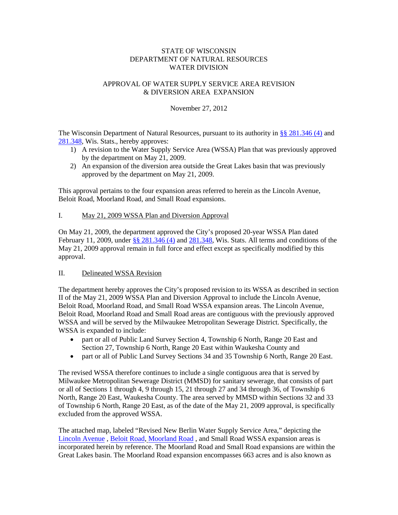## STATE OF WISCONSIN DEPARTMENT OF NATURAL RESOURCES WATER DIVISION

# APPROVAL OF WATER SUPPLY SERVICE AREA REVISION & DIVERSION AREA EXPANSION

November 27, 2012

The Wisconsin Department of Natural Resources, pursuant to its authority in [§§ 281.346 \(4\)](https://docs.legis.wisconsin.gov/frame/document/statutes/281.346(4)) and [281.348,](http://docs.legis.wisconsin.gov/frame/document/statutes/281.348) Wis. Stats., hereby approves:

- 1) A revision to the Water Supply Service Area (WSSA) Plan that was previously approved by the department on May 21, 2009.
- 2) An expansion of the diversion area outside the Great Lakes basin that was previously approved by the department on May 21, 2009.

This approval pertains to the four expansion areas referred to herein as the Lincoln Avenue, Beloit Road, Moorland Road, and Small Road expansions.

## I. May 21, 2009 WSSA Plan and Diversion Approval

On May 21, 2009, the department approved the City's proposed 20-year WSSA Plan dated February 11, 2009, under [§§ 281.346 \(4\)](https://docs.legis.wisconsin.gov/frame/document/statutes/281.346(4)) and [281.348,](http://docs.legis.wisconsin.gov/frame/document/statutes/281.348) Wis. Stats. All terms and conditions of the May 21, 2009 approval remain in full force and effect except as specifically modified by this approval.

## II. Delineated WSSA Revision

The department hereby approves the City's proposed revision to its WSSA as described in section II of the May 21, 2009 WSSA Plan and Diversion Approval to include the Lincoln Avenue, Beloit Road, Moorland Road, and Small Road WSSA expansion areas. The Lincoln Avenue, Beloit Road, Moorland Road and Small Road areas are contiguous with the previously approved WSSA and will be served by the Milwaukee Metropolitan Sewerage District. Specifically, the WSSA is expanded to include:

- part or all of Public Land Survey Section 4, Township 6 North, Range 20 East and Section 27, Township 6 North, Range 20 East within Waukesha County and
- part or all of Public Land Survey Sections 34 and 35 Township 6 North, Range 20 East.

The revised WSSA therefore continues to include a single contiguous area that is served by Milwaukee Metropolitan Sewerage District (MMSD) for sanitary sewerage, that consists of part or all of Sections 1 through 4, 9 through 15, 21 through 27 and 34 through 36, of Township 6 North, Range 20 East, Waukesha County. The area served by MMSD within Sections 32 and 33 of Township 6 North, Range 20 East, as of the date of the May 21, 2009 approval, is specifically excluded from the approved WSSA.

The attached map, labeled "Revised New Berlin Water Supply Service Area," depicting the [Lincoln](http://meetings.newberlin.org/sirepub/mtgviewer.aspx?meetid=405&doctype=agenda&itemid=9420) Avenue , [Beloit](http://meetings.newberlin.org/sirepub/mtgviewer.aspx?meetid=405&doctype=agenda&itemid=9333) Road, [Moorland](http://meetings.newberlin.org/sirepub/mtgviewer.aspx?meetid=146&doctype=AGENDA) Road , and [Small](http://dnr.wi.gov/topic/wateruse/documents/Buyseasons_Small_Road_Staff_Report.pdf) Road WSSA expansion areas is incorporated herein by reference. The Moorland Road and Small Road expansions are within the Great Lakes basin. The Moorland Road expansion encompasses 663 acres and is also known as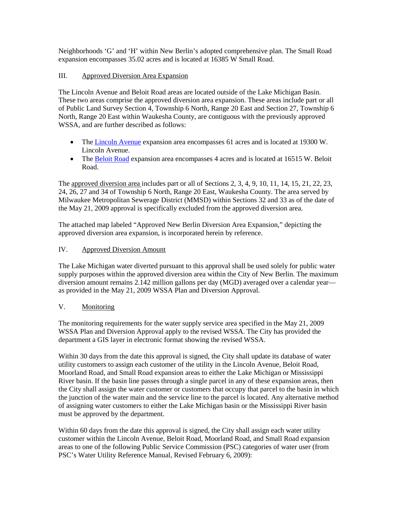Neighborhoods 'G' and 'H' within New Berlin's adopted comprehensive plan. The Small Road expansion encompasses 35.02 acres and is located at 16385 W Small Road.

# III. Approved Diversion Area Expansion

The Lincoln Avenue and Beloit Road areas are located outside of the Lake Michigan Basin. These two areas comprise the approved diversion area expansion. These areas include part or all of Public Land Survey Section 4, Township 6 North, Range 20 East and Section 27, Township 6 North, Range 20 East within Waukesha County, are contiguous with the previously approved WSSA, and are further described as follows:

- The [Lincoln Avenue](http://meetings.newberlin.org/sirepub/mtgviewer.aspx?meetid=405&doctype=agenda&itemid=9420) expansion area encompasses 61 acres and is located at 19300 W. Lincoln Avenue.
- The [Beloit Road](http://meetings.newberlin.org/sirepub/mtgviewer.aspx?meetid=405&doctype=agenda&itemid=9333) expansion area encompasses 4 acres and is located at 16515 W. Beloit Road.

The approved diversion area includes part or all of Sections 2, 3, 4, 9, 10, 11, 14, 15, 21, 22, 23, 24, 26, 27 and 34 of Township 6 North, Range 20 East, Waukesha County. The area served by Milwaukee Metropolitan Sewerage District (MMSD) within Sections 32 and 33 as of the date of the May 21, 2009 approval is specifically excluded from the approved diversion area.

The attached map labeled "Approved New Berlin Diversion Area Expansion," depicting the approved diversion area expansion, is incorporated herein by reference.

## IV. Approved Diversion Amount

The Lake Michigan water diverted pursuant to this approval shall be used solely for public water supply purposes within the approved diversion area within the City of New Berlin. The maximum diversion amount remains 2.142 million gallons per day (MGD) averaged over a calendar year as provided in the May 21, 2009 WSSA Plan and Diversion Approval.

## V. Monitoring

The monitoring requirements for the water supply service area specified in the May 21, 2009 WSSA Plan and Diversion Approval apply to the revised WSSA. The City has provided the department a GIS layer in electronic format showing the revised WSSA.

Within 30 days from the date this approval is signed, the City shall update its database of water utility customers to assign each customer of the utility in the Lincoln Avenue, Beloit Road, Moorland Road, and Small Road expansion areas to either the Lake Michigan or Mississippi River basin. If the basin line passes through a single parcel in any of these expansion areas, then the City shall assign the water customer or customers that occupy that parcel to the basin in which the junction of the water main and the service line to the parcel is located. Any alternative method of assigning water customers to either the Lake Michigan basin or the Mississippi River basin must be approved by the department.

Within 60 days from the date this approval is signed, the City shall assign each water utility customer within the Lincoln Avenue, Beloit Road, Moorland Road, and Small Road expansion areas to one of the following Public Service Commission (PSC) categories of water user (from PSC's Water Utility Reference Manual, Revised February 6, 2009):